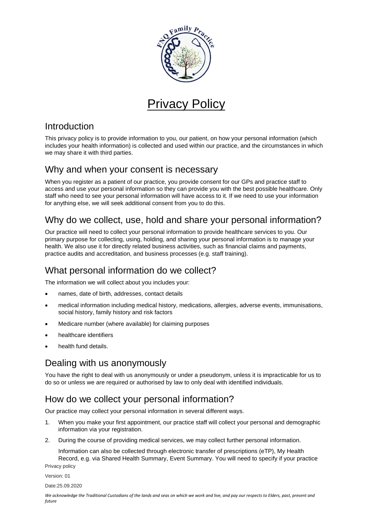

# Privacy Policy

#### Introduction

This privacy policy is to provide information to you, our patient, on how your personal information (which includes your health information) is collected and used within our practice, and the circumstances in which we may share it with third parties.

#### Why and when your consent is necessary

When you register as a patient of our practice, you provide consent for our GPs and practice staff to access and use your personal information so they can provide you with the best possible healthcare. Only staff who need to see your personal information will have access to it. If we need to use your information for anything else, we will seek additional consent from you to do this.

## Why do we collect, use, hold and share your personal information?

Our practice will need to collect your personal information to provide healthcare services to you. Our primary purpose for collecting, using, holding, and sharing your personal information is to manage your health. We also use it for directly related business activities, such as financial claims and payments, practice audits and accreditation, and business processes (e.g. staff training).

## What personal information do we collect?

The information we will collect about you includes your:

- names, date of birth, addresses, contact details
- medical information including medical history, medications, allergies, adverse events, immunisations, social history, family history and risk factors
- Medicare number (where available) for claiming purposes
- healthcare identifiers
- health fund details.

## Dealing with us anonymously

You have the right to deal with us anonymously or under a pseudonym, unless it is impracticable for us to do so or unless we are required or authorised by law to only deal with identified individuals.

## How do we collect your personal information?

Our practice may collect your personal information in several different ways.

- 1. When you make your first appointment, our practice staff will collect your personal and demographic information via your registration.
- 2. During the course of providing medical services, we may collect further personal information.

Privacy policy Information can also be collected through electronic transfer of prescriptions (eTP), My Health Record, e.g. via Shared Health Summary, Event Summary. You will need to specify if your practice

Version: 01

Date:25.09.2020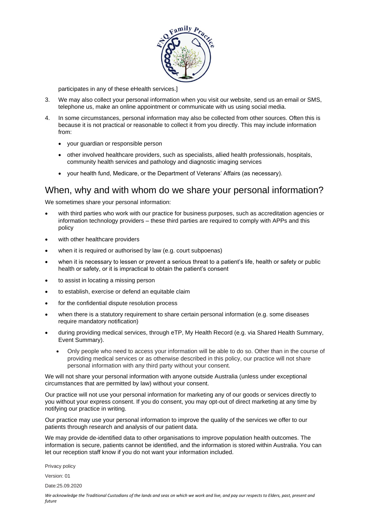

participates in any of these eHealth services.]

- 3. We may also collect your personal information when you visit our website, send us an email or SMS, telephone us, make an online appointment or communicate with us using social media.
- 4. In some circumstances, personal information may also be collected from other sources. Often this is because it is not practical or reasonable to collect it from you directly. This may include information from:
	- your guardian or responsible person
	- other involved healthcare providers, such as specialists, allied health professionals, hospitals, community health services and pathology and diagnostic imaging services
	- your health fund, Medicare, or the Department of Veterans' Affairs (as necessary).

#### When, why and with whom do we share your personal information?

We sometimes share your personal information:

- with third parties who work with our practice for business purposes, such as accreditation agencies or information technology providers – these third parties are required to comply with APPs and this policy
- with other healthcare providers
- when it is required or authorised by law (e.g. court subpoenas)
- when it is necessary to lessen or prevent a serious threat to a patient's life, health or safety or public health or safety, or it is impractical to obtain the patient's consent
- to assist in locating a missing person
- to establish, exercise or defend an equitable claim
- for the confidential dispute resolution process
- when there is a statutory requirement to share certain personal information (e.g. some diseases require mandatory notification)
- during providing medical services, through eTP, My Health Record (e.g. via Shared Health Summary, Event Summary).
	- Only people who need to access your information will be able to do so. Other than in the course of providing medical services or as otherwise described in this policy, our practice will not share personal information with any third party without your consent.

We will not share your personal information with anyone outside Australia (unless under exceptional circumstances that are permitted by law) without your consent.

Our practice will not use your personal information for marketing any of our goods or services directly to you without your express consent. If you do consent, you may opt-out of direct marketing at any time by notifying our practice in writing.

Our practice may use your personal information to improve the quality of the services we offer to our patients through research and analysis of our patient data.

We may provide de-identified data to other organisations to improve population health outcomes. The information is secure, patients cannot be identified, and the information is stored within Australia. You can let our reception staff know if you do not want your information included.

Privacy policy

Version: 01

Date:25.09.2020

*We acknowledge the Traditional Custodians of the lands and seas on which we work and live, and pay our respects to Elders, past, present and future*